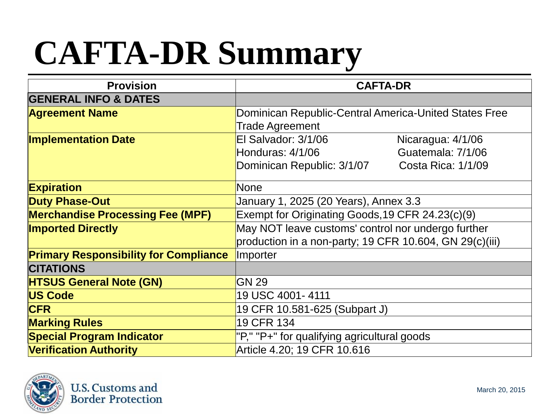## **CAFTA-DR Summary**

| <b>Provision</b>                             | <b>CAFTA-DR</b>                                         |                           |
|----------------------------------------------|---------------------------------------------------------|---------------------------|
| <b>GENERAL INFO &amp; DATES</b>              |                                                         |                           |
| <b>Agreement Name</b>                        | Dominican Republic-Central America-United States Free   |                           |
|                                              | <b>Trade Agreement</b>                                  |                           |
| <b>Implementation Date</b>                   | El Salvador: 3/1/06                                     | Nicaragua: 4/1/06         |
|                                              | Honduras: 4/1/06                                        | Guatemala: 7/1/06         |
|                                              | Dominican Republic: 3/1/07                              | <b>Costa Rica: 1/1/09</b> |
| <b>Expiration</b>                            | None                                                    |                           |
| <b>Duty Phase-Out</b>                        | January 1, 2025 (20 Years), Annex 3.3                   |                           |
| <b>Merchandise Processing Fee (MPF)</b>      | Exempt for Originating Goods, 19 CFR 24.23(c)(9)        |                           |
| <b>Imported Directly</b>                     | May NOT leave customs' control nor undergo further      |                           |
|                                              | production in a non-party; 19 CFR 10.604, GN 29(c)(iii) |                           |
| <b>Primary Responsibility for Compliance</b> | Importer                                                |                           |
| <b>CITATIONS</b>                             |                                                         |                           |
| <b>HTSUS General Note (GN)</b>               | <b>GN 29</b>                                            |                           |
| <b>US Code</b>                               | 19 USC 4001-4111                                        |                           |
| <b>CFR</b>                                   | 19 CFR 10.581-625 (Subpart J)                           |                           |
| <b>Marking Rules</b>                         | 19 CFR 134                                              |                           |
| <b>Special Program Indicator</b>             | "P," "P+" for qualifying agricultural goods             |                           |
| <b>Verification Authority</b>                | Article 4.20; 19 CFR 10.616                             |                           |

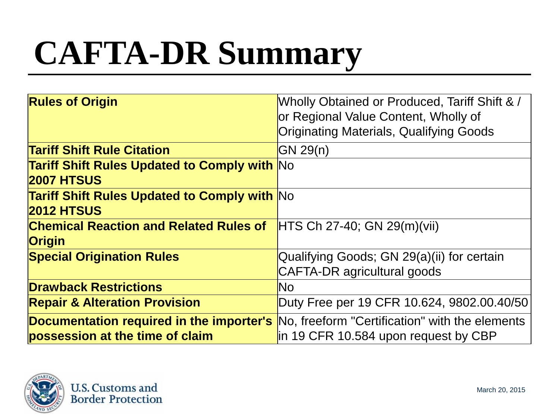## **CAFTA-DR Summary**

| <b>Rules of Origin</b>                                                   | Wholly Obtained or Produced, Tariff Shift & /<br>or Regional Value Content, Wholly of<br><b>Originating Materials, Qualifying Goods</b>               |
|--------------------------------------------------------------------------|-------------------------------------------------------------------------------------------------------------------------------------------------------|
| <b>Tariff Shift Rule Citation</b>                                        | GN 29(n)                                                                                                                                              |
| <b>Tariff Shift Rules Updated to Comply with No</b><br><b>2007 HTSUS</b> |                                                                                                                                                       |
| <b>Tariff Shift Rules Updated to Comply with No</b><br><b>2012 HTSUS</b> |                                                                                                                                                       |
| <b>Chemical Reaction and Related Rules of</b><br><b>Origin</b>           | $HTS Ch 27-40$ ; GN 29(m)(vii)                                                                                                                        |
| <b>Special Origination Rules</b>                                         | Qualifying Goods; GN 29(a)(ii) for certain<br><b>CAFTA-DR</b> agricultural goods                                                                      |
| <b>Drawback Restrictions</b>                                             | N <sub>O</sub>                                                                                                                                        |
| <b>Repair &amp; Alteration Provision</b>                                 | Duty Free per 19 CFR 10.624, 9802.00.40/50                                                                                                            |
| possession at the time of claim                                          | <b>Documentation required in the importer's</b> No, freeform "Certification" with the elements<br>$\overline{p}$ in 19 CFR 10.584 upon request by CBP |